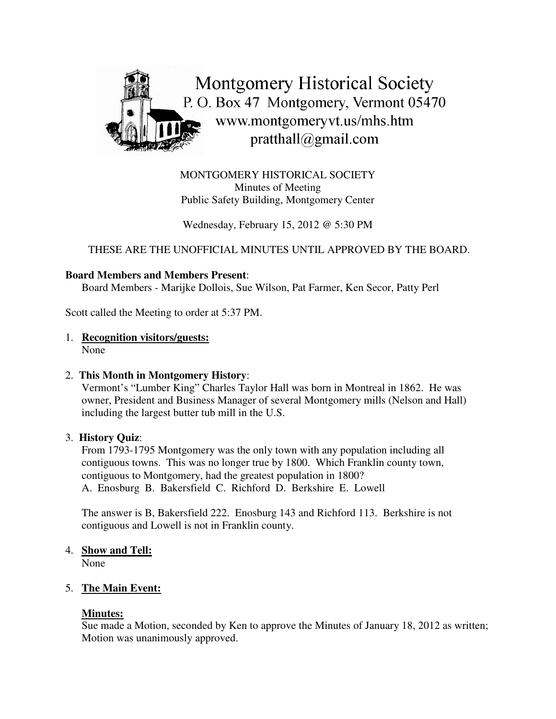

MONTGOMERY HISTORICAL SOCIETY Minutes of Meeting Public Safety Building, Montgomery Center

Wednesday, February 15, 2012 @ 5:30 PM

THESE ARE THE UNOFFICIAL MINUTES UNTIL APPROVED BY THE BOARD.

### **Board Members and Members Present**:

Board Members - Marijke Dollois, Sue Wilson, Pat Farmer, Ken Secor, Patty Perl

Scott called the Meeting to order at 5:37 PM.

# 1. **Recognition visitors/guests:**

None

### 2. **This Month in Montgomery History**:

Vermont's "Lumber King" Charles Taylor Hall was born in Montreal in 1862. He was owner, President and Business Manager of several Montgomery mills (Nelson and Hall) including the largest butter tub mill in the U.S.

### 3. **History Quiz**:

From 1793-1795 Montgomery was the only town with any population including all contiguous towns. This was no longer true by 1800. Which Franklin county town, contiguous to Montgomery, had the greatest population in 1800? A. Enosburg B. Bakersfield C. Richford D. Berkshire E. Lowell

The answer is B, Bakersfield 222. Enosburg 143 and Richford 113. Berkshire is not contiguous and Lowell is not in Franklin county.

# 4. **Show and Tell:**

None

### 5. **The Main Event:**

### **Minutes:**

Sue made a Motion, seconded by Ken to approve the Minutes of January 18, 2012 as written; Motion was unanimously approved.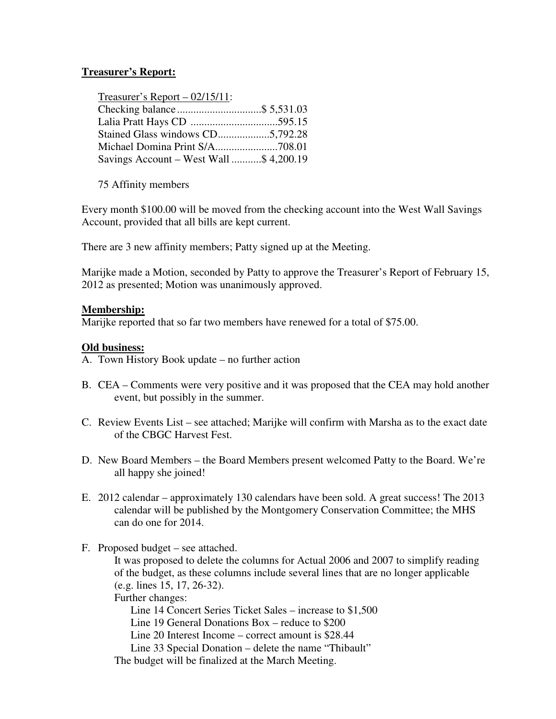# **Treasurer's Report:**

| Treasurer's Report $-02/15/11$ :        |  |
|-----------------------------------------|--|
|                                         |  |
|                                         |  |
| Stained Glass windows CD5,792.28        |  |
|                                         |  |
| Savings Account – West Wall \$ 4,200.19 |  |

75 Affinity members

Every month \$100.00 will be moved from the checking account into the West Wall Savings Account, provided that all bills are kept current.

There are 3 new affinity members; Patty signed up at the Meeting.

Marijke made a Motion, seconded by Patty to approve the Treasurer's Report of February 15, 2012 as presented; Motion was unanimously approved.

### **Membership:**

Marijke reported that so far two members have renewed for a total of \$75.00.

# **Old business:**

- A. Town History Book update no further action
- B. CEA Comments were very positive and it was proposed that the CEA may hold another event, but possibly in the summer.
- C. Review Events List see attached; Marijke will confirm with Marsha as to the exact date of the CBGC Harvest Fest.
- D. New Board Members the Board Members present welcomed Patty to the Board. We're all happy she joined!
- E. 2012 calendar approximately 130 calendars have been sold. A great success! The 2013 calendar will be published by the Montgomery Conservation Committee; the MHS can do one for 2014.
- F. Proposed budget see attached.

It was proposed to delete the columns for Actual 2006 and 2007 to simplify reading of the budget, as these columns include several lines that are no longer applicable (e.g. lines 15, 17, 26-32).

Further changes:

Line 14 Concert Series Ticket Sales – increase to \$1,500

Line 19 General Donations Box – reduce to \$200

Line 20 Interest Income – correct amount is \$28.44

Line 33 Special Donation – delete the name "Thibault"

The budget will be finalized at the March Meeting.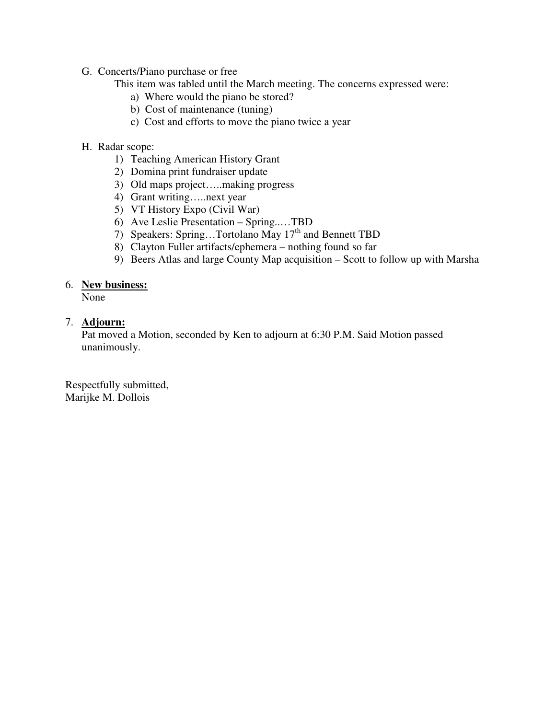- G. Concerts/Piano purchase or free
	- This item was tabled until the March meeting. The concerns expressed were:
		- a) Where would the piano be stored?
		- b) Cost of maintenance (tuning)
		- c) Cost and efforts to move the piano twice a year
- H. Radar scope:
	- 1) Teaching American History Grant
	- 2) Domina print fundraiser update
	- 3) Old maps project…..making progress
	- 4) Grant writing…..next year
	- 5) VT History Expo (Civil War)
	- 6) Ave Leslie Presentation Spring..…TBD
	- 7) Speakers: Spring...Tortolano May 17<sup>th</sup> and Bennett TBD
	- 8) Clayton Fuller artifacts/ephemera nothing found so far
	- 9) Beers Atlas and large County Map acquisition Scott to follow up with Marsha

# 6. **New business:**

None

# 7. **Adjourn:**

Pat moved a Motion, seconded by Ken to adjourn at 6:30 P.M. Said Motion passed unanimously.

Respectfully submitted, Marijke M. Dollois